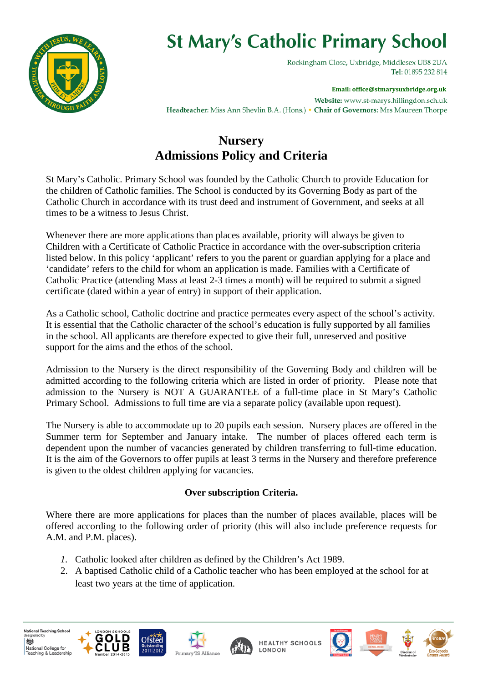

# **St Mary's Catholic Primary School**

Rockingham Close, Uxbridge, Middlesex UB8 2UA Tel: 01895 232 814

**Email: office@stmarysuxbridge.org.uk** Website: www.st-marys.hillingdon.sch.uk Headteacher: Miss Ann Shevlin B.A. (Hons.) • Chair of Governors: Mrs Maureen Thorpe

### **Nursery Admissions Policy and Criteria**

St Mary's Catholic. Primary School was founded by the Catholic Church to provide Education for the children of Catholic families. The School is conducted by its Governing Body as part of the Catholic Church in accordance with its trust deed and instrument of Government, and seeks at all times to be a witness to Jesus Christ.

Whenever there are more applications than places available, priority will always be given to Children with a Certificate of Catholic Practice in accordance with the over-subscription criteria listed below. In this policy 'applicant' refers to you the parent or guardian applying for a place and 'candidate' refers to the child for whom an application is made. Families with a Certificate of Catholic Practice (attending Mass at least 2-3 times a month) will be required to submit a signed certificate (dated within a year of entry) in support of their application.

As a Catholic school, Catholic doctrine and practice permeates every aspect of the school's activity. It is essential that the Catholic character of the school's education is fully supported by all families in the school. All applicants are therefore expected to give their full, unreserved and positive support for the aims and the ethos of the school.

Admission to the Nursery is the direct responsibility of the Governing Body and children will be admitted according to the following criteria which are listed in order of priority. Please note that admission to the Nursery is NOT A GUARANTEE of a full-time place in St Mary's Catholic Primary School. Admissions to full time are via a separate policy (available upon request).

The Nursery is able to accommodate up to 20 pupils each session. Nursery places are offered in the Summer term for September and January intake. The number of places offered each term is dependent upon the number of vacancies generated by children transferring to full-time education. It is the aim of the Governors to offer pupils at least 3 terms in the Nursery and therefore preference is given to the oldest children applying for vacancies.

### **Over subscription Criteria.**

Where there are more applications for places than the number of places available, places will be offered according to the following order of priority (this will also include preference requests for A.M. and P.M. places).

- *1.* Catholic looked after children as defined by the Children's Act 1989.
- 2. A baptised Catholic child of a Catholic teacher who has been employed at the school for at least two years at the time of application.











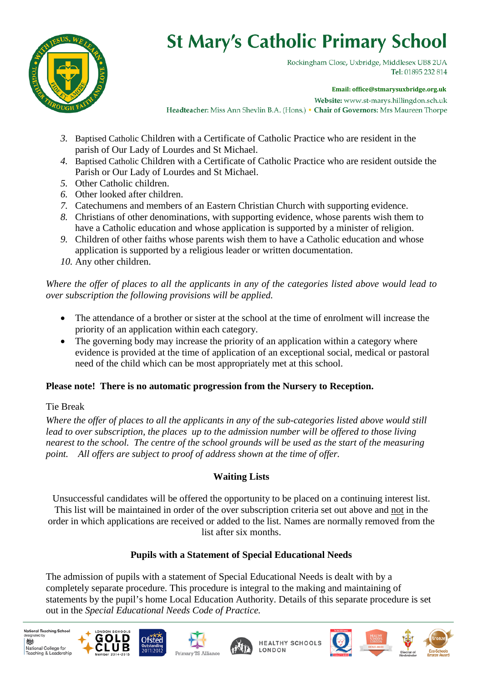

# **St Mary's Catholic Primary School**

Rockingham Close, Uxbridge, Middlesex UB8 2UA Tel: 01895 232 814

**Email: office@stmarysuxbridge.org.uk**

Website: www.st-marys.hillingdon.sch.uk Headteacher: Miss Ann Shevlin B.A. (Hons.) • Chair of Governors: Mrs Maureen Thorpe

- *3.* Baptised Catholic Children with a Certificate of Catholic Practice who are resident in the parish of Our Lady of Lourdes and St Michael.
- *4.* Baptised Catholic Children with a Certificate of Catholic Practice who are resident outside the Parish or Our Lady of Lourdes and St Michael.
- *5.* Other Catholic children.
- *6.* Other looked after children.
- *7.* Catechumens and members of an Eastern Christian Church with supporting evidence.
- *8.* Christians of other denominations, with supporting evidence, whose parents wish them to have a Catholic education and whose application is supported by a minister of religion.
- *9.* Children of other faiths whose parents wish them to have a Catholic education and whose application is supported by a religious leader or written documentation.
- *10.* Any other children.

#### *Where the offer of places to all the applicants in any of the categories listed above would lead to over subscription the following provisions will be applied.*

- The attendance of a brother or sister at the school at the time of enrolment will increase the priority of an application within each category.
- The governing body may increase the priority of an application within a category where evidence is provided at the time of application of an exceptional social, medical or pastoral need of the child which can be most appropriately met at this school.

#### **Please note! There is no automatic progression from the Nursery to Reception.**

#### Tie Break

*Where the offer of places to all the applicants in any of the sub-categories listed above would still lead to over subscription, the places up to the admission number will be offered to those living nearest to the school. The centre of the school grounds will be used as the start of the measuring point. All offers are subject to proof of address shown at the time of offer.* 

### **Waiting Lists**

Unsuccessful candidates will be offered the opportunity to be placed on a continuing interest list. This list will be maintained in order of the over subscription criteria set out above and not in the order in which applications are received or added to the list. Names are normally removed from the list after six months.

### **Pupils with a Statement of Special Educational Needs**

The admission of pupils with a statement of Special Educational Needs is dealt with by a completely separate procedure. This procedure is integral to the making and maintaining of statements by the pupil's home Local Education Authority. Details of this separate procedure is set out in the *Special Educational Needs Code of Practice.*